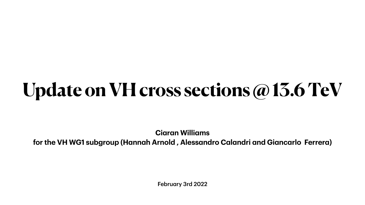February 3rd 2022

# **Update on VH cross sections @ 13.6 TeV**

**Ciaran Williams for the VH WG1 subgroup (Hannah Arnold , Alessandro Calandri and Giancarlo Ferrera)**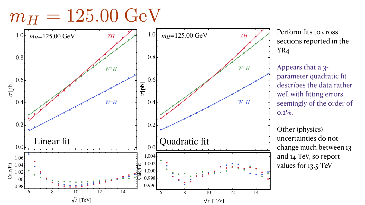



Perform fits to cross sections reported in the YR<sub>4</sub>

Appears that a 3parameter quadratic fit describes the data rather well with fitting errors seemingly of the order of  $0.2\%$ .

Other (physics) uncertainties do not change much between 13 and 14 TeV, so report values for 13.5 TeV





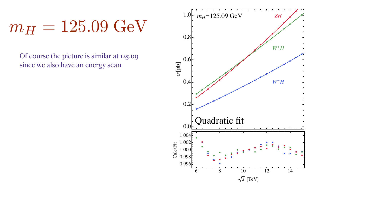## $m_H = 125.09$  GeV

Of course the picture is similar at 125.09 since we also have an energy scan

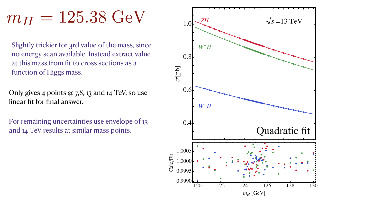## $m_H = 125.38 \text{ GeV}$

Slightly trickier for 3rd value of the mass, since no energy scan available. Instead extract value at this mass from fit to cross sections as a function of Higgs mass.

Only gives 4 points  $\omega$  7,8, 13 and 14 TeV, so use linear fit for final answer.

For remaining uncertainties use envelope of 13 and 14 TeV results at similar mass points.

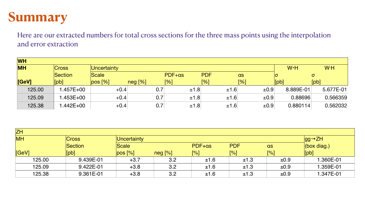#### **Summary**

#### Here are our extracted numbers for total cross sections for the three mass points using the interpolation





and error extraction

| <b>WH</b> |              |             |               |        |            |           |           |           |  |
|-----------|--------------|-------------|---------------|--------|------------|-----------|-----------|-----------|--|
| <b>MH</b> | Cross        | Uncertainty |               |        |            |           | $W+H$     | W-H       |  |
|           | Section      | Scale       |               | PDF+as | <b>PDF</b> | as        |           | $\sigma$  |  |
| [GeV]     | [pb]         | pos [%]     | neg [%]       | [%]    | [%]        | [%]       | [bb]      | [bb]      |  |
| 125.00    | I.457E+00    |             | 0.7<br>$+0.4$ | ±1.8   | ±1.6       | $\pm 0.9$ | 8.889E-01 | 5.677E-01 |  |
| 125.09    | 1.453E+00    |             | 0.7<br>$+0.4$ | ±1.8   | $\pm 1.6$  | $\pm 0.9$ | 0.88696   | 0.566359  |  |
| 125.38    | $.442E + 00$ |             | 0.7<br>$+0.4$ | ±1.8   | ±1.6       | $\pm 0.9$ | 0.880114  | 0.562032  |  |

| <b>ZH</b> |        |              |             |                            |        |            |             |                 |  |  |
|-----------|--------|--------------|-------------|----------------------------|--------|------------|-------------|-----------------|--|--|
| <b>MH</b> |        | <b>Cross</b> | Uncertainty | $\sqrt{gg} \rightarrow ZH$ |        |            |             |                 |  |  |
|           |        | Section      | Scale       |                            | PDF+as | <b>PDF</b> | as          | $ $ (box diag.) |  |  |
|           | [GeV]  | [pb]         | pos [%]     | neg [%]                    | [%]    | [%]        | $\sqrt{96}$ | $[{\sf pb}]$    |  |  |
|           | 125.00 | 9.439E-01    | $+3.7$      | 3.2                        | ±1.6   | ±1.3       | $\pm 0.9$   | 1.360E-01       |  |  |
|           | 125.09 | 9.422E-01    | $+3.8$      | 3.2                        | ±1.6   | ±1.3       | ±0.9        | 1.359E-01       |  |  |
|           | 125.38 | 9.361E-01    | $+3.8$      | 3.2                        | ±1.6   | ±1.3       | ±0.9        | 1.347E-01       |  |  |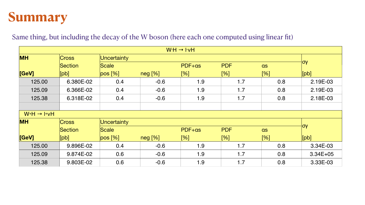### **Summary**

#### Same thing, but including the decay of the W boson (here each one computed using linear fit)

| $WH \rightarrow lvH$    |                             |             |         |                      |            |     |              |  |  |
|-------------------------|-----------------------------|-------------|---------|----------------------|------------|-----|--------------|--|--|
| <b>MH</b>               | <b>Cross</b><br>Uncertainty |             |         |                      |            |     |              |  |  |
|                         | Section                     | Scale       |         | PDF+as               | <b>PDF</b> | as  | ∣σγ          |  |  |
| [GeV]                   | [pb]                        | pos [%]     | neg [%] | [%]                  | [%]        | [%] | [bb]         |  |  |
| 125.00                  | 6.380E-02                   | 0.4         | $-0.6$  | 1.9                  | 1.7        | 0.8 | 2.19E-03     |  |  |
| 125.09                  | 6.366E-02                   | 0.4         | $-0.6$  | 1.9                  | 1.7        | 0.8 | 2.19E-03     |  |  |
| 125.38                  | 6.318E-02                   | 0.4         | $-0.6$  | 1.9                  | 1.7        | 0.8 | 2.18E-03     |  |  |
|                         |                             |             |         |                      |            |     |              |  |  |
| $W^+H \rightarrow H^+W$ |                             |             |         |                      |            |     |              |  |  |
| <b>MH</b>               | <b>Cross</b>                | Uncertainty |         |                      |            |     |              |  |  |
|                         | Section                     | Scale       |         | PDF+as<br><b>PDF</b> |            | as  | ∣σγ          |  |  |
| [GeV]                   | [bb]                        | pos [%]     | neg [%] | [%]                  | [%]        | [%] | [bb]         |  |  |
| 125.00                  | 9.896E-02                   | 0.4         | $-0.6$  | 1.9                  | 1.7        | 0.8 | 3.34E-03     |  |  |
| 125.09                  | 9.874E-02                   | 0.6         | $-0.6$  | 1.9                  | 1.7        | 0.8 | $3.34E + 05$ |  |  |
| 125.38                  | 9.803E-02                   | 0.6         | $-0.6$  | 1.9                  | 1.7        | 0.8 | 3.33E-03     |  |  |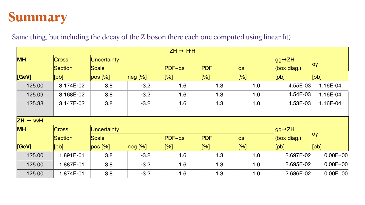### **Summary**

#### Same thing, but including the decay of the Z boson (here each one computed using linear fit)

|                      |              |             |         | $ZH \rightarrow HHH$ |            |     |                       |              |
|----------------------|--------------|-------------|---------|----------------------|------------|-----|-----------------------|--------------|
| <b>MH</b>            | <b>Cross</b> | Uncertainty |         |                      |            |     | $\log \rightarrow ZH$ |              |
|                      | Section      | Scale       |         | PDF+as               | <b>PDF</b> | as  | (box diag.)           | OV           |
| [GeV]                | [bb]         | pos [%]     | neg [%] | [%]                  | [%]        | [%] | [pb]                  | [bb]         |
| 125.00               | 3.174E-02    | 3.8         | $-3.2$  | 1.6                  | 1.3        | 1.0 | 4.55E-03              | 1.16E-04     |
| 125.09               | 3.168E-02    | 3.8         | $-3.2$  | 1.6                  | 1.3        | 1.0 | 4.54E-03              | 1.16E-04     |
| 125.38               | 3.147E-02    | 3.8         | $-3.2$  | 1.6                  | 1.3        | 1.0 | 4.53E-03              | 1.16E-04     |
|                      |              |             |         |                      |            |     |                       |              |
| $ZH \rightarrow vvH$ |              |             |         |                      |            |     |                       |              |
| <b>MH</b>            | Cross        | Uncertainty |         |                      |            |     | $\log \rightarrow ZH$ |              |
|                      | Section      | Scale       |         | PDF+as               | <b>PDF</b> | as  | (box diag.)           | $ $ OV       |
| [GeV]                | [bb]         | pos [%]     | neg [%] | [%]                  | [%]        | [%] | [pb]                  | [bb]         |
| 125.00               | 1.891E-01    | 3.8         | $-3.2$  | 1.6                  | 1.3        | 1.0 | 2.697E-02             | $0.00E + 00$ |
| 125.00               | 1.887E-01    | 3.8         | $-3.2$  | 1.6                  | 1.3        | 1.0 | 2.695E-02             | $0.00E + 00$ |
| 125.00               | 1.874E-01    | 3.8         | $-3.2$  | 1.6                  | 1.3        | 1.0 | 2.686E-02             | $0.00E + 00$ |